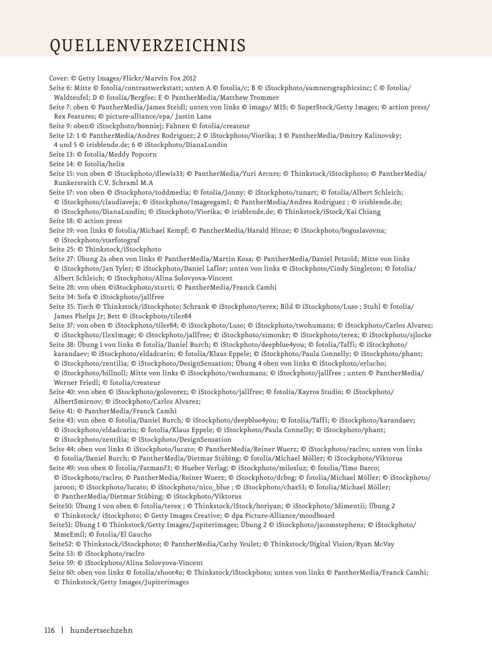## QUELLENVERZEICHNIS

Cover: © Getty Images/Flickr/Marvin Fox 2012 Seite 6: Mitte © fotolia/contrastwerkstatt; unten A © fotolia/c; B © iStockphoto/sumnersgraphicsinc; C © fotolia/ Waldteufel; D © fotolia/Bergfee; E © PantherMedia/Matthew Trommer Seite 7: oben © PantherMedia/James Steidl; unten von links © imago/ MIS; © SuperStock/Getty Images; © action press/ Rex Features; © picture-alliance/epa/ Justin Lane Seite 9: oben© iStockphoto/bonniej; Fahnen © fotolia/createur Seite 12: 1 © PantherMedia/Andres Rodriguez; 2 © iStockphoto/Viorika; 3 © PantherMedia/Dmitry Kalinovsky; 4 und 5 © irisblende.de; 6 © iStockphoto/DianaLundin Seite 13: © fotolia/Meddy Popcorn Seite 14: © fotolia/helix Seite 15: von oben © iStockphoto/dlewis33; © PantherMedia/Yuri Arcurs; © Thinkstock/iStockphoto; © PantherMedia/ Runkersraith C.V. Schraml M.A Seite 17: von oben © iStockphoto/toddmedia; © fotolia/Jonny; © iStockphoto/tunart; © fotolia/Albert Schleich; © iStockphoto/claudiaveja; © iStockphoto/ImageegamI; © PantherMedia/Andres Rodriguez ; © irisblende.de; © iStockphoto/DianaLundin; © iStockphoto/Viorika; © irisblende.de; © Thinkstock/iStock/Kai Chiang Seite 18: © action press Seite 19: von links © fotolia/Michael Kempf; © PantherMedia/Harald Hinze; © iStockphoto/boguslavovna; © iStockphoto/starfotograf Seite 25: © Thinkstock/iStockphoto Seite 27: Übung 2a oben von links © PantherMedia/Martin Kosa; © PantherMedia/Daniel Petzold; Mitte von links © iStockphoto/Jan Tyler; © iStockphoto/Daniel Laflor; unten von links © iStockphoto/Cindy Singleton; © fotolia/ Albert Schleich; © iStockphoto/Alina Solovyova-Vincent Seite 28: von oben ©iStockphoto/sturti; © PantherMedia/Franck Camhi Seite 34: Sofa © iStockphoto/jallfree Seite 35: Tisch © Thinkstock/iStockphoto; Schrank © iStockphoto/terex; Bild © iStockphoto/Luso ; Stuhl © fotolia/ James Phelps Jr; Bett © iStockphoto/tiler84 Seite 37: von oben © iStockphoto/tiler84; © iStockphoto/Luso; © iStockphoto/twohumans; © iStockphoto/Carlos Alvarez; © iStockphoto/IlexImage; © iStockphoto/jallfree; © iStockphoto/simonkr; © iStockphoto/terex; © iStockphoto/sjlocke Seite 38: Übung 1 von links © fotolia/Daniel Burch; © iStockphoto/deepblue4you; © fotolia/Taffi; © iStockphoto/ karandaev; © iStockphoto/eldadcarin; © fotolia/Klaus Eppele; © iStockphoto/Paula Connelly; © iStockphoto/phant; © iStockphoto/zentilia; © iStockphoto/DesignSensation; Übung 4 oben von links © iStockphoto/erlucho; © iStockphoto/billnoll; Mitte von links © iStockphoto/twohumans; © iStockphoto/jallfree ; unten © PantherMedia/ Werner Friedl; © fotolia/createur Seite 40: von oben © iStockphoto/golovorez; © iStockphoto/jallfree; © fotolia/Kayros Studio; © iStockphoto/ AlbertSmirnov; © iStockphoto/Carlos Alvarez; Seite 41: © PantherMedia/Franck Camhi Seite 43: von oben © fotolia/Daniel Burch; © iStockphoto/deepblue4you; © fotolia/Taffi; © iStockphoto/karandaev; © iStockphoto/eldadcarin; © fotolia/Klaus Eppele; © iStockphoto/Paula Connelly; © iStockphoto/phant; © iStockphoto/zentilia; © iStockphoto/DesignSensation Seite 44: oben von links © iStockphoto/lucato; © PantherMedia/Reiner Wuerz; © iStockphoto/raclro; unten von links © fotolia/Daniel Burch; © PantherMedia/Dietmar Stübing; © fotolia/Michael Möller; © iStockphoto/Viktorus Seite 49: von oben © fotolia/Fatman73; © Hueber Verlag; © iStockphoto/milosluz; © fotolia/Timo Darco; © iStockphoto/raclro; © PantherMedia/Reiner Wuerz; © iStockphoto/dcbog; © fotolia/Michael Möller; © iStockphoto/ jaroon; © iStockphoto/lucato; © iStockphoto/nico\_blue ; © iStockphoto/chas53; © fotolia/Michael Möller; © PantherMedia/Dietmar Stübing; © iStockphoto/Viktorus Seite50: Übung 1 von oben © fotolia/terex ; © Thinkstock/iStock/horiyan; © iStockphoto/3dimentii; Übung 2 © Thinkstock/ iStockphoto; © Getty Images Creative; © dpa Picture-Alliance/moodboard Seite51: Übung 1 © Thinkstock/Getty Images/Jupiterimages; Übung 2 © iStockphoto/jacomstephens; © iStockphoto/ MmeEmil; © fotolia/El Gaucho Seite52: © Thinkstock/iStockphoto; © PantherMedia/Cathy Yeulet; © Thinkstock/Digital Vision/Ryan McVay Seite 53: © iStockphoto/raclro Seite 59: © iStockphoto/Alina Solovyova-Vincent Seite 60: oben von links © fotolia/shoot4u; © Thinkstock/iStockphoto; unten von links © PantherMedia/Franck Camhi; © Thinkstock/Getty Images/Jupiterimages